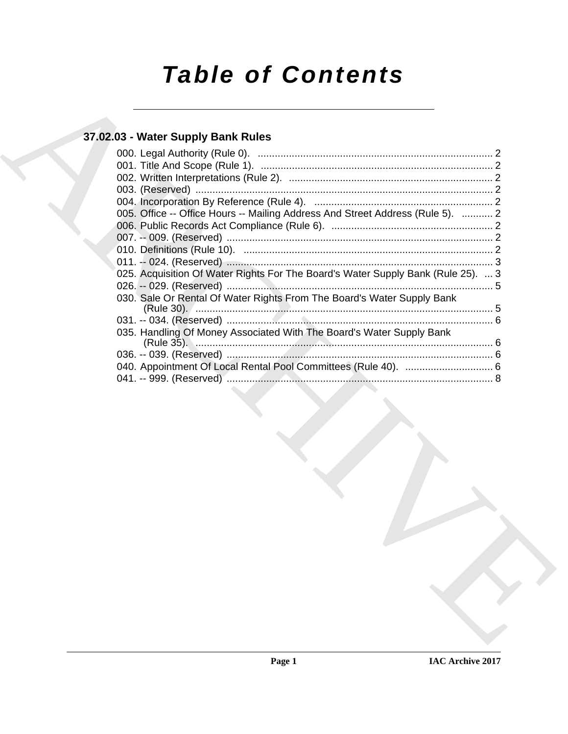# **Table of Contents**

### 37.02.03 - Water Supply Bank Rules

| 005. Office -- Office Hours -- Mailing Address And Street Address (Rule 5).  2   |  |
|----------------------------------------------------------------------------------|--|
|                                                                                  |  |
|                                                                                  |  |
|                                                                                  |  |
| $\sim$ 3                                                                         |  |
| 025. Acquisition Of Water Rights For The Board's Water Supply Bank (Rule 25).  3 |  |
|                                                                                  |  |
| 030. Sale Or Rental Of Water Rights From The Board's Water Supply Bank           |  |
|                                                                                  |  |
| 035. Handling Of Money Associated With The Board's Water Supply Bank             |  |
|                                                                                  |  |
|                                                                                  |  |
|                                                                                  |  |
|                                                                                  |  |
|                                                                                  |  |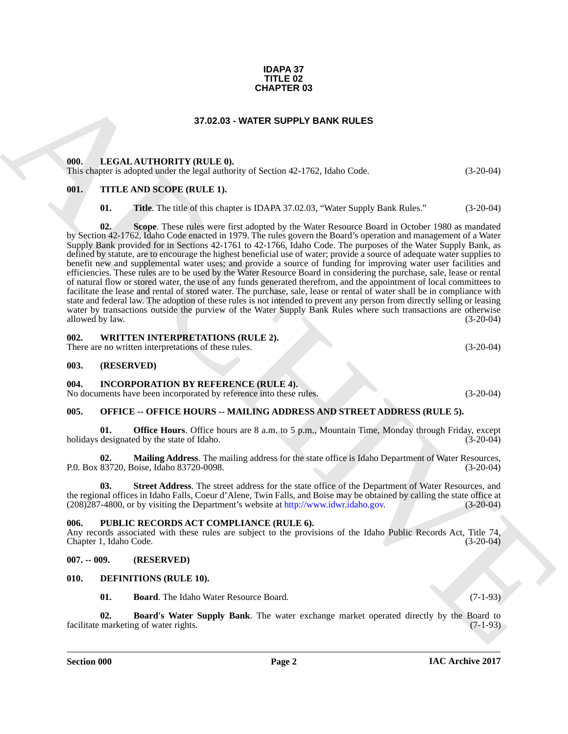#### **IDAPA 37 TITLE 02 CHAPTER 03**

#### **37.02.03 - WATER SUPPLY BANK RULES**

#### <span id="page-1-1"></span><span id="page-1-0"></span>**000. LEGAL AUTHORITY (RULE 0).**

This chapter is adopted under the legal authority of Section 42-1762, Idaho Code. (3-20-04)

#### <span id="page-1-2"></span>**001. TITLE AND SCOPE (RULE 1).**

**01.** Title. The title of this chapter is IDAPA 37.02.03, "Water Supply Bank Rules." (3-20-04)

**CHAPTER 03**<br> **CHARCH[IV](http://www.idwr.idaho.gov)E CHAPTER SUPPLY BANK RULES**<br> **CHARCHIVE CHAPTER SUPPLY BANK RULES**<br> **CHARCHIVE CHAPTER SUPPLY BANK RULES**<br> **CHARCHIVE CHAPTER SUPPLY BANK RULES**<br> **CHARCHIVE CHAPTER SUPPLY BANK RULES**<br> **CHARCHIVE C 02. Scope**. These rules were first adopted by the Water Resource Board in October 1980 as mandated by Section 42-1762, Idaho Code enacted in 1979. The rules govern the Board's operation and management of a Water Supply Bank provided for in Sections 42-1761 to 42-1766, Idaho Code. The purposes of the Water Supply Bank, as defined by statute, are to encourage the highest beneficial use of water; provide a source of adequate water supplies to benefit new and supplemental water uses; and provide a source of funding for improving water user facilities and efficiencies. These rules are to be used by the Water Resource Board in considering the purchase, sale, lease or rental of natural flow or stored water, the use of any funds generated therefrom, and the appointment of local committees to facilitate the lease and rental of stored water. The purchase, sale, lease or rental of water shall be in compliance with state and federal law. The adoption of these rules is not intended to prevent any person from directly selling or leasing water by transactions outside the purview of the Water Supply Bank Rules where such transactions are otherwise<br>allowed by law. (3-20-04) allowed by law.

<span id="page-1-3"></span>**002. WRITTEN INTERPRETATIONS (RULE 2).**

There are no written interpretations of these rules. (3-20-04)

#### <span id="page-1-4"></span>**003. (RESERVED)**

<span id="page-1-5"></span>**004. INCORPORATION BY REFERENCE (RULE 4).**

No documents have been incorporated by reference into these rules. (3-20-04)

#### <span id="page-1-6"></span>**005. OFFICE -- OFFICE HOURS -- MAILING ADDRESS AND STREET ADDRESS (RULE 5).**

**Office Hours**. Office hours are 8 a.m. to 5 p.m., Mountain Time, Monday through Friday, except holidays designated by the state of Idaho. (3-20-04)

**02. Mailing Address**. The mailing address for the state office is Idaho Department of Water Resources, P.0. Box 83720, Boise, Idaho 83720-0098.

**Street Address**. The street address for the state office of the Department of Water Resources, and the regional offices in Idaho Falls, Coeur d'Alene, Twin Falls, and Boise may be obtained by calling the state office at (208)287-4800, or by visiting the Department's website at http://www.idwr.idaho.gov. (3-20-04)  $(208)287-4800$ , or by visiting the Department's website at http://www.idwr.idaho.gov.

#### <span id="page-1-7"></span>**006. PUBLIC RECORDS ACT COMPLIANCE (RULE 6).**

Any records associated with these rules are subject to the provisions of the Idaho Public Records Act, Title 74, Chapter 1, Idaho Code. (3-20-04)

#### <span id="page-1-8"></span>**007. -- 009. (RESERVED)**

#### <span id="page-1-9"></span>**010. DEFINITIONS (RULE 10).**

<span id="page-1-12"></span><span id="page-1-11"></span><span id="page-1-10"></span>**01. Board**. The Idaho Water Resource Board. (7-1-93)

**02. Board's Water Supply Bank**. The water exchange market operated directly by the Board to facilitate marketing of water rights. (7-1-93)

**Section 000 Page 2**

**IAC Archive 2017**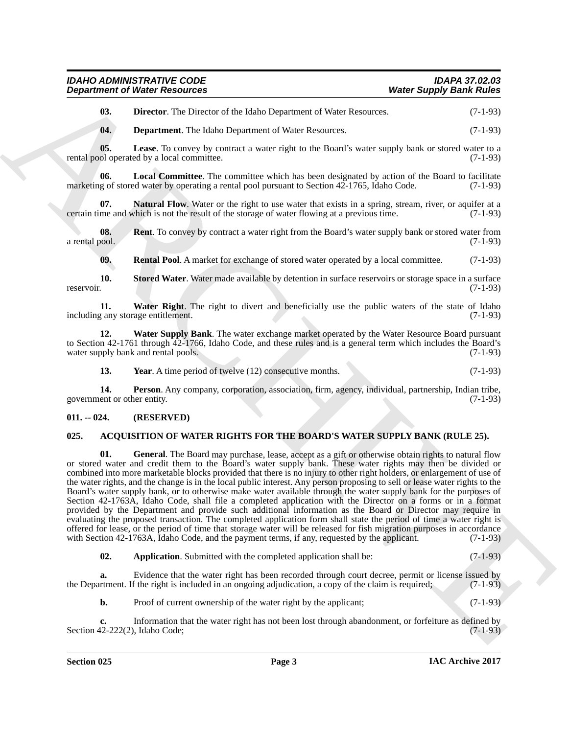| <b>IDAHO ADMINISTRATIVE CODE</b>     | <b>IDAPA 37.02.03</b>          |  |
|--------------------------------------|--------------------------------|--|
| <b>Department of Water Resources</b> | <b>Water Supply Bank Rules</b> |  |

<span id="page-2-6"></span>**03. Director**. The Director of the Idaho Department of Water Resources. (7-1-93)

<span id="page-2-8"></span><span id="page-2-7"></span><span id="page-2-5"></span>**04. Department**. The Idaho Department of Water Resources. (7-1-93)

**05. Lease**. To convey by contract a water right to the Board's water supply bank or stored water to a rental pool operated by a local committee. (7-1-93)

**06. Local Committee**. The committee which has been designated by action of the Board to facilitate marketing of stored water by operating a rental pool pursuant to Section 42-1765, Idaho Code.  $(7-1-93)$ 

<span id="page-2-9"></span>**07. Natural Flow**. Water or the right to use water that exists in a spring, stream, river, or aquifer at a me and which is not the result of the storage of water flowing at a previous time. (7-1-93) certain time and which is not the result of the storage of water flowing at a previous time.

**08.** Rent. To convey by contract a water right from the Board's water supply bank or stored water from a rental pool. (7-1-93)

<span id="page-2-14"></span><span id="page-2-13"></span><span id="page-2-12"></span><span id="page-2-11"></span>**09. Rental Pool**. A market for exchange of stored water operated by a local committee. (7-1-93)

**10.** Stored Water. Water made available by detention in surface reservoirs or storage space in a surface reservoir. (7-1-93) reservoir. (7-1-93)

**11.** Water Right. The right to divert and beneficially use the public waters of the state of Idaho g any storage entitlement. (7-1-93) including any storage entitlement.

**12. Water Supply Bank**. The water exchange market operated by the Water Resource Board pursuant to Section 42-1761 through 42-1766, Idaho Code, and these rules and is a general term which includes the Board's water supply bank and rental pools. (7-1-93) water supply bank and rental pools.

<span id="page-2-16"></span><span id="page-2-15"></span><span id="page-2-10"></span>**13.** Year. A time period of twelve (12) consecutive months. (7-1-93)

**14. Person**. Any company, corporation, association, firm, agency, individual, partnership, Indian tribe, ent or other entity. (7-1-93) government or other entity.

#### <span id="page-2-0"></span>**011. -- 024. (RESERVED)**

#### <span id="page-2-4"></span><span id="page-2-2"></span><span id="page-2-1"></span>**025. ACQUISITION OF WATER RIGHTS FOR THE BOARD'S WATER SUPPLY BANK (RULE 25).**

**Department of Nieter Research et**<br> **USER Surface Analysis (Section 2018)**<br> **USER Surface Analysis (Section 2018)**<br> **USER Surface Analysis (Section 2018)**<br> **USER Surface Analysis (Section 2018)**<br> **USER Surface Analysis (S 01. General**. The Board may purchase, lease, accept as a gift or otherwise obtain rights to natural flow or stored water and credit them to the Board's water supply bank. These water rights may then be divided or combined into more marketable blocks provided that there is no injury to other right holders, or enlargement of use of the water rights, and the change is in the local public interest. Any person proposing to sell or lease water rights to the Board's water supply bank, or to otherwise make water available through the water supply bank for the purposes of Section 42-1763A, Idaho Code, shall file a completed application with the Director on a forms or in a format provided by the Department and provide such additional information as the Board or Director may require in evaluating the proposed transaction. The completed application form shall state the period of time a water right is offered for lease, or the period of time that storage water will be released for fish migration purposes in accordance with Section 42-1763A, Idaho Code, and the payment terms, if any, requested by the applicant. (7-1-93)

<span id="page-2-3"></span>**02.** Application. Submitted with the completed application shall be: (7-1-93)

**a.** Evidence that the water right has been recorded through court decree, permit or license issued by the Department. If the right is included in an ongoing adjudication, a copy of the claim is required; (7-1-93)

**b.** Proof of current ownership of the water right by the applicant; (7-1-93)

**c.** Information that the water right has not been lost through abandonment, or forfeiture as defined by  $(7-1-93)$ Section 42-222(2), Idaho Code;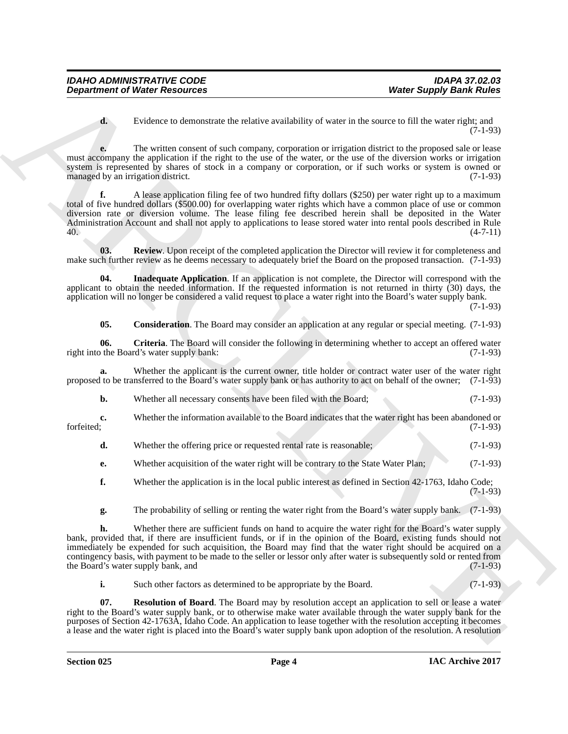**d.** Evidence to demonstrate the relative availability of water in the source to fill the water right; and (7-1-93)

**e.** The written consent of such company, corporation or irrigation district to the proposed sale or lease must accompany the application if the right to the use of the water, or the use of the diversion works or irrigation system is represented by shares of stock in a company or corporation, or if such works or system is owned or managed by an irrigation district. (7-1-93)

Department of Weiler Research of the stationary where Supply Bank Rules<br>  $\frac{1}{2}$  Evidence Weiler Research of the stationary computation of the stationary of Elisa with the stationary and the stationary of the stationary **f.** A lease application filing fee of two hundred fifty dollars (\$250) per water right up to a maximum total of five hundred dollars (\$500.00) for overlapping water rights which have a common place of use or common diversion rate or diversion volume. The lease filing fee described herein shall be deposited in the Water Administration Account and shall not apply to applications to lease stored water into rental pools described in Rule 40. (4-7-11)

<span id="page-3-4"></span>**03. Review**. Upon receipt of the completed application the Director will review it for completeness and make such further review as he deems necessary to adequately brief the Board on the proposed transaction. (7-1-93)

**04. Inadequate Application**. If an application is not complete, the Director will correspond with the applicant to obtain the needed information. If the requested information is not returned in thirty (30) days, the application will no longer be considered a valid request to place a water right into the Board's water supply bank.

(7-1-93)

<span id="page-3-2"></span><span id="page-3-1"></span><span id="page-3-0"></span>**05.** Consideration. The Board may consider an application at any regular or special meeting. (7-1-93)

**06.** Criteria. The Board will consider the following in determining whether to accept an offered water or the Board's water supply bank: (7-1-93) right into the Board's water supply bank:

**a.** Whether the applicant is the current owner, title holder or contract water user of the water right proposed to be transferred to the Board's water supply bank or has authority to act on behalf of the owner; (7-1-93)

**b.** Whether all necessary consents have been filed with the Board; (7-1-93)

**c.** Whether the information available to the Board indicates that the water right has been abandoned or forfeited; (7-1-93) forfeited; (7-1-93)

- **d.** Whether the offering price or requested rental rate is reasonable; (7-1-93)
- **e.** Whether acquisition of the water right will be contrary to the State Water Plan; (7-1-93)
- **f.** Whether the application is in the local public interest as defined in Section 42-1763, Idaho Code; (7-1-93)
- **g.** The probability of selling or renting the water right from the Board's water supply bank. (7-1-93)

**h.** Whether there are sufficient funds on hand to acquire the water right for the Board's water supply bank, provided that, if there are insufficient funds, or if in the opinion of the Board, existing funds should not immediately be expended for such acquisition, the Board may find that the water right should be acquired on a contingency basis, with payment to be made to the seller or lessor only after water is subsequently sold or rented from<br>the Board's water supply bank, and (7-1-93) the Board's water supply bank, and

<span id="page-3-3"></span>**i.** Such other factors as determined to be appropriate by the Board. (7-1-93)

**07. Resolution of Board**. The Board may by resolution accept an application to sell or lease a water right to the Board's water supply bank, or to otherwise make water available through the water supply bank for the purposes of Section 42-1763A, Idaho Code. An application to lease together with the resolution accepting it becomes a lease and the water right is placed into the Board's water supply bank upon adoption of the resolution. A resolution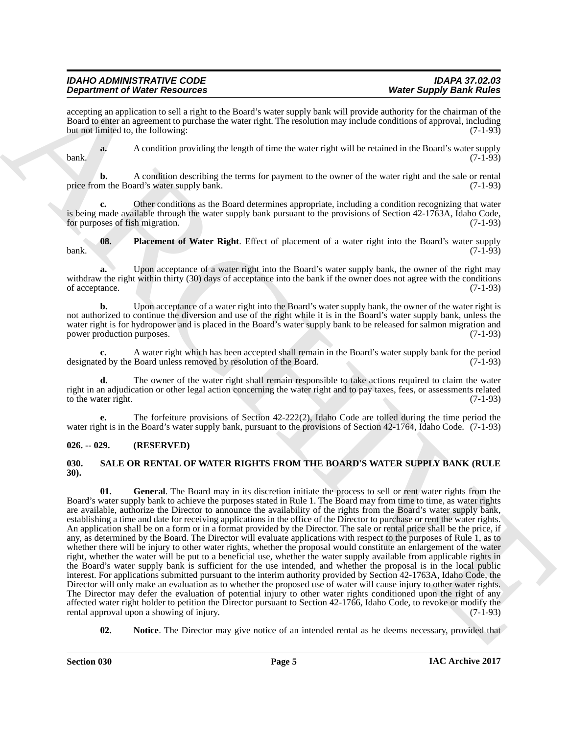#### *IDAHO ADMINISTRATIVE CODE IDAPA 37.02.03 Department of Water Resources*

accepting an application to sell a right to the Board's water supply bank will provide authority for the chairman of the Board to enter an agreement to purchase the water right. The resolution may include conditions of approval, including but not limited to, the following: (7-1-93)

**a.** A condition providing the length of time the water right will be retained in the Board's water supply bank. (7-1-93)

**b.** A condition describing the terms for payment to the owner of the water right and the sale or rental price from the Board's water supply bank. (7-1-93)

**c.** Other conditions as the Board determines appropriate, including a condition recognizing that water is being made available through the water supply bank pursuant to the provisions of Section  $42-1763$ A, Idaho Code, for purposes of fish migration.  $(7-1-93)$ for purposes of fish migration.

<span id="page-4-2"></span>**08. Placement of Water Right**. Effect of placement of a water right into the Board's water supply (7-1-93) bank. (7-1-93)

**a.** Upon acceptance of a water right into the Board's water supply bank, the owner of the right may withdraw the right within thirty (30) days of acceptance into the bank if the owner does not agree with the conditions of acceptance. (7-1-93)

**b.** Upon acceptance of a water right into the Board's water supply bank, the owner of the water right is not authorized to continue the diversion and use of the right while it is in the Board's water supply bank, unless the water right is for hydropower and is placed in the Board's water supply bank to be released for salmon migration and power production purposes. (7-1-93)

**c.** A water right which has been accepted shall remain in the Board's water supply bank for the period designated by the Board unless removed by resolution of the Board. (7-1-93)

The owner of the water right shall remain responsible to take actions required to claim the water right in an adjudication or other legal action concerning the water right and to pay taxes, fees, or assessments related to the water right.  $(7-1-93)$ 

**e.** The forfeiture provisions of Section 42-222(2), Idaho Code are tolled during the time period the water right is in the Board's water supply bank, pursuant to the provisions of Section 42-1764, Idaho Code. (7-1-93)

#### <span id="page-4-0"></span>**026. -- 029. (RESERVED)**

#### <span id="page-4-4"></span><span id="page-4-3"></span><span id="page-4-1"></span>**030. SALE OR RENTAL OF WATER RIGHTS FROM THE BOARD'S WATER SUPPLY BANK (RULE 30).**

**Dependent of West Results on the Study's particular and the Study's Constrainer of the Study's Constrainer Constrainer (Section 2018)<br>
The study of the Study of the Study of the Study's particular and the Study of the St 01. General**. The Board may in its discretion initiate the process to sell or rent water rights from the Board's water supply bank to achieve the purposes stated in Rule 1. The Board may from time to time, as water rights are available, authorize the Director to announce the availability of the rights from the Board's water supply bank, establishing a time and date for receiving applications in the office of the Director to purchase or rent the water rights. An application shall be on a form or in a format provided by the Director. The sale or rental price shall be the price, if any, as determined by the Board. The Director will evaluate applications with respect to the purposes of Rule 1, as to whether there will be injury to other water rights, whether the proposal would constitute an enlargement of the water right, whether the water will be put to a beneficial use, whether the water supply available from applicable rights in the Board's water supply bank is sufficient for the use intended, and whether the proposal is in the local public interest. For applications submitted pursuant to the interim authority provided by Section 42-1763A, Idaho Code, the Director will only make an evaluation as to whether the proposed use of water will cause injury to other water rights. The Director may defer the evaluation of potential injury to other water rights conditioned upon the right of any affected water right holder to petition the Director pursuant to Section 42-1766, Idaho Code, to revoke or modify the rental approval upon a showing of injury. rental approval upon a showing of injury.

<span id="page-4-5"></span>**02.** Notice. The Director may give notice of an intended rental as he deems necessary, provided that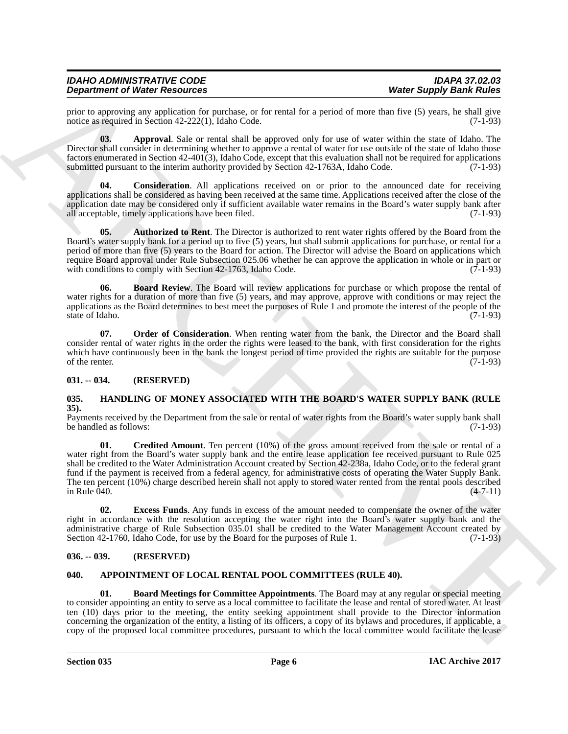#### *IDAHO ADMINISTRATIVE CODE IDAPA 37.02.03 Department of Water Resources*

prior to approving any application for purchase, or for rental for a period of more than five (5) years, he shall give notice as required in Section 42-222(1). Idaho Code. (7-1-93) notice as required in Section  $42-222(1)$ , Idaho Code.

<span id="page-5-9"></span>**03. Approval**. Sale or rental shall be approved only for use of water within the state of Idaho. The Director shall consider in determining whether to approve a rental of water for use outside of the state of Idaho those factors enumerated in Section 42-401(3), Idaho Code, except that this evaluation shall not be required for applications submitted pursuant to the interim authority provided by Section 42-1763A, Idaho Code.

<span id="page-5-12"></span>**04.** Consideration. All applications received on or prior to the announced date for receiving applications shall be considered as having been received at the same time. Applications received after the close of the application date may be considered only if sufficient available water remains in the Board's water supply bank after all acceptable, timely applications have been filed. (7-1-93) all acceptable, timely applications have been filed.

<span id="page-5-10"></span>**05. Authorized to Rent**. The Director is authorized to rent water rights offered by the Board from the Board's water supply bank for a period up to five (5) years, but shall submit applications for purchase, or rental for a period of more than five (5) years to the Board for action. The Director will advise the Board on applications which require Board approval under Rule Subsection 025.06 whether he can approve the application in whole or in part or with conditions to comply with Section 42-1763, Idaho Code. (7-1-93) with conditions to comply with Section 42-1763, Idaho Code.

<span id="page-5-11"></span>**06. Board Review**. The Board will review applications for purchase or which propose the rental of water rights for a duration of more than five (5) years, and may approve, approve with conditions or may reject the applications as the Board determines to best meet the purposes of  $\hat{R}$ ule 1 and promote the interest of the people of the state of Idaho. (7-1-93) state of Idaho.

<span id="page-5-13"></span>**07.** Order of Consideration. When renting water from the bank, the Director and the Board shall consider rental of water rights in the order the rights were leased to the bank, with first consideration for the rights which have continuously been in the bank the longest period of time provided the rights are suitable for the purpose of the renter.  $(7-1-93)$ of the renter. (7-1-93)

#### <span id="page-5-0"></span>**031. -- 034. (RESERVED)**

#### <span id="page-5-6"></span><span id="page-5-1"></span>**035. HANDLING OF MONEY ASSOCIATED WITH THE BOARD'S WATER SUPPLY BANK (RULE 35).**

<span id="page-5-7"></span>Payments received by the Department from the sale or rental of water rights from the Board's water supply bank shall<br>be handled as follows: (7-1-93) be handled as follows:

**Dependent of Newton Resolution**, the main last period of the control of the Chinachylland Resolution (Eq. 2) applies the property of the main last temperature of the main last temperature of the main last temperature of **01. Credited Amount**. Ten percent (10%) of the gross amount received from the sale or rental of a water right from the Board's water supply bank and the entire lease application fee received pursuant to Rule 025 shall be credited to the Water Administration Account created by Section 42-238a, Idaho Code, or to the federal grant fund if the payment is received from a federal agency, for administrative costs of operating the Water Supply Bank. The ten percent (10%) charge described herein shall not apply to stored water rented from the rental pools described in Rule 040. (4-7-11) in Rule 040. (4-7-11)

<span id="page-5-8"></span>**02. Excess Funds**. Any funds in excess of the amount needed to compensate the owner of the water right in accordance with the resolution accepting the water right into the Board's water supply bank and the administrative charge of Rule Subsection 035.01 shall be credited to the Water Management Account created by Section 42-1760, Idaho Code, for use by the Board for the purposes of Rule 1. (7-1-93)

#### <span id="page-5-2"></span>**036. -- 039. (RESERVED)**

#### <span id="page-5-4"></span><span id="page-5-3"></span>**040. APPOINTMENT OF LOCAL RENTAL POOL COMMITTEES (RULE 40).**

<span id="page-5-5"></span>**01. Board Meetings for Committee Appointments**. The Board may at any regular or special meeting to consider appointing an entity to serve as a local committee to facilitate the lease and rental of stored water. At least ten (10) days prior to the meeting, the entity seeking appointment shall provide to the Director information concerning the organization of the entity, a listing of its officers, a copy of its bylaws and procedures, if applicable, a copy of the proposed local committee procedures, pursuant to which the local committee would facilitate the lease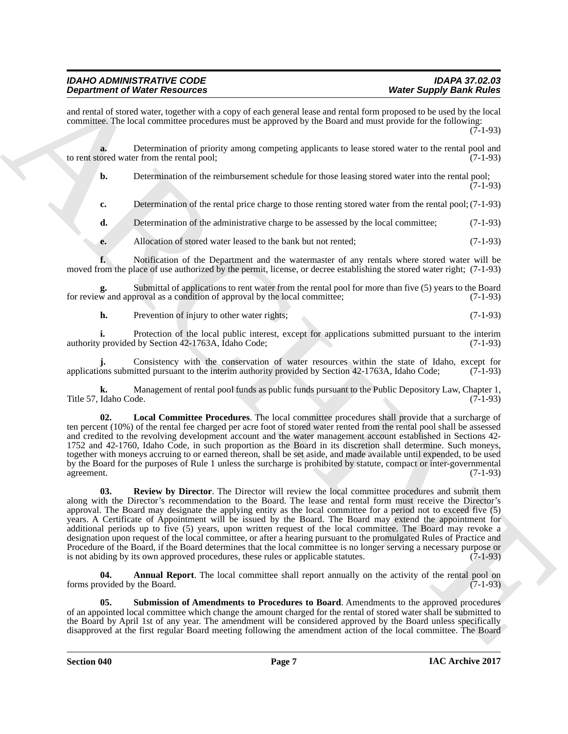#### *IDAHO ADMINISTRATIVE CODE IDAPA 37.02.03 Department of Water Resources*

and rental of stored water, together with a copy of each general lease and rental form proposed to be used by the local committee. The local committee procedures must be approved by the Board and must provide for the following: (7-1-93)

**a.** Determination of priority among competing applicants to lease stored water to the rental pool and to rent stored water from the rental pool; (7-1-93)

**b.** Determination of the reimbursement schedule for those leasing stored water into the rental pool; (7-1-93)

**c.** Determination of the rental price charge to those renting stored water from the rental pool; (7-1-93)

**d.** Determination of the administrative charge to be assessed by the local committee; (7-1-93)

**e.** Allocation of stored water leased to the bank but not rented; (7-1-93)

**f.** Notification of the Department and the watermaster of any rentals where stored water will be moved from the place of use authorized by the permit, license, or decree establishing the stored water right; (7-1-93)

Submittal of applications to rent water from the rental pool for more than five (5) years to the Board proval as a condition of approval by the local committee; (7-1-93) for review and approval as a condition of approval by the local committee;

**h.** Prevention of injury to other water rights; (7-1-93)

**i.** Protection of the local public interest, except for applications submitted pursuant to the interim provided by Section 42-1763A. Idaho Code: (7-1-93) authority provided by Section 42-1763A, Idaho Code;

Consistency with the conservation of water resources within the state of Idaho, except for itted pursuant to the interim authority provided by Section 42-1763A, Idaho Code; (7-1-93) applications submitted pursuant to the interim authority provided by Section 42-1763A, Idaho Code;

**k.** Management of rental pool funds as public funds pursuant to the Public Depository Law, Chapter 1, Idaho Code. (7-1-93) Title 57, Idaho Code.

<span id="page-6-2"></span><span id="page-6-1"></span>**02. Local Committee Procedures**. The local committee procedures shall provide that a surcharge of ten percent (10%) of the rental fee charged per acre foot of stored water rented from the rental pool shall be assessed and credited to the revolving development account and the water management account established in Sections 42- 1752 and 42-1760, Idaho Code, in such proportion as the Board in its discretion shall determine. Such moneys, together with moneys accruing to or earned thereon, shall be set aside, and made available until expended, to be used by the Board for the purposes of Rule 1 unless the surcharge is prohibited by statute, compact or inter-governmental agreement. (7-1-93)

**Dependent of Web Theodores Construction** and the state of the proposition of the state of the state of the state of the state of the state of the state of the state of the state of the state of the state of the state of **03. Review by Director**. The Director will review the local committee procedures and submit them along with the Director's recommendation to the Board. The lease and rental form must receive the Director's approval. The Board may designate the applying entity as the local committee for a period not to exceed five (5) years. A Certificate of Appointment will be issued by the Board. The Board may extend the appointment for additional periods up to five (5) years, upon written request of the local committee. The Board may revoke a designation upon request of the local committee, or after a hearing pursuant to the promulgated Rules of Practice and Procedure of the Board, if the Board determines that the local committee is no longer serving a necessary purpose or is not abiding by its own approved procedures, these rules or applicable statutes. (7-1-93) is not abiding by its own approved procedures, these rules or applicable statutes.

<span id="page-6-0"></span>**04. Annual Report**. The local committee shall report annually on the activity of the rental pool on forms provided by the Board. (7-1-93)

<span id="page-6-3"></span>**05. Submission of Amendments to Procedures to Board**. Amendments to the approved procedures of an appointed local committee which change the amount charged for the rental of stored water shall be submitted to the Board by April 1st of any year. The amendment will be considered approved by the Board unless specifically disapproved at the first regular Board meeting following the amendment action of the local committee. The Board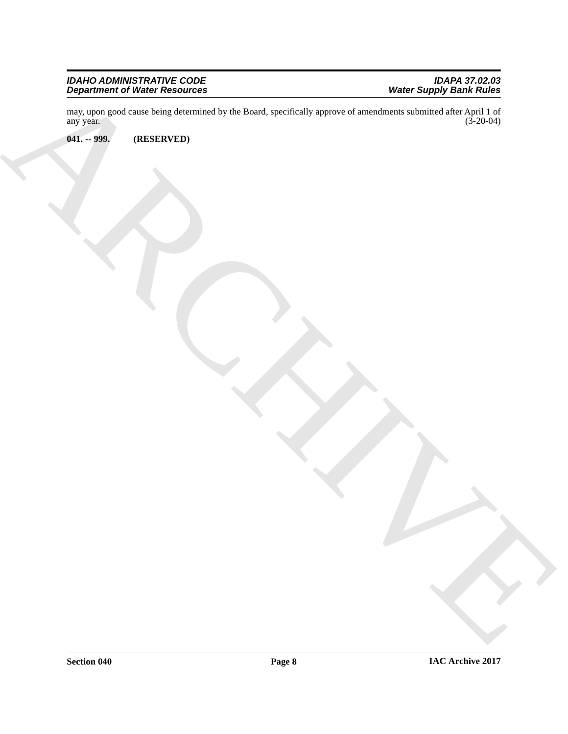#### *IDAHO ADMINISTRATIVE CODE IDAPA 37.02.03 Department of Water Resources Water Supply Bank Rules*

ARCHIVE may, upon good cause being determined by the Board, specifically approve of amendments submitted after April 1 of any year. (3-20-04) any year.  $(3-20-04)$ 

<span id="page-7-0"></span>**041. -- 999. (RESERVED)**